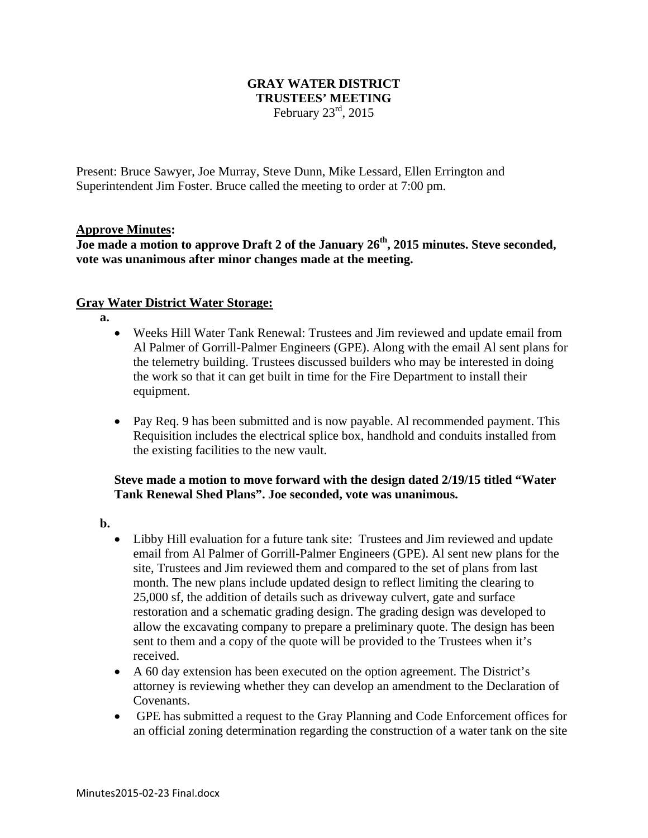## **GRAY WATER DISTRICT TRUSTEES' MEETING**  February  $23<sup>rd</sup>$ , 2015

Present: Bruce Sawyer, Joe Murray, Steve Dunn, Mike Lessard, Ellen Errington and Superintendent Jim Foster. Bruce called the meeting to order at 7:00 pm.

## **Approve Minutes:**

**Joe made a motion to approve Draft 2 of the January 26th, 2015 minutes. Steve seconded, vote was unanimous after minor changes made at the meeting.** 

## **Gray Water District Water Storage:**

- **a.**
	- Weeks Hill Water Tank Renewal: Trustees and Jim reviewed and update email from Al Palmer of Gorrill-Palmer Engineers (GPE). Along with the email Al sent plans for the telemetry building. Trustees discussed builders who may be interested in doing the work so that it can get built in time for the Fire Department to install their equipment.
	- Pay Req. 9 has been submitted and is now payable. Al recommended payment. This Requisition includes the electrical splice box, handhold and conduits installed from the existing facilities to the new vault.

# **Steve made a motion to move forward with the design dated 2/19/15 titled "Water Tank Renewal Shed Plans". Joe seconded, vote was unanimous.**

- **b.**
	- Libby Hill evaluation for a future tank site: Trustees and Jim reviewed and update email from Al Palmer of Gorrill-Palmer Engineers (GPE). Al sent new plans for the site, Trustees and Jim reviewed them and compared to the set of plans from last month. The new plans include updated design to reflect limiting the clearing to 25,000 sf, the addition of details such as driveway culvert, gate and surface restoration and a schematic grading design. The grading design was developed to allow the excavating company to prepare a preliminary quote. The design has been sent to them and a copy of the quote will be provided to the Trustees when it's received.
	- A 60 day extension has been executed on the option agreement. The District's attorney is reviewing whether they can develop an amendment to the Declaration of Covenants.
	- GPE has submitted a request to the Gray Planning and Code Enforcement offices for an official zoning determination regarding the construction of a water tank on the site